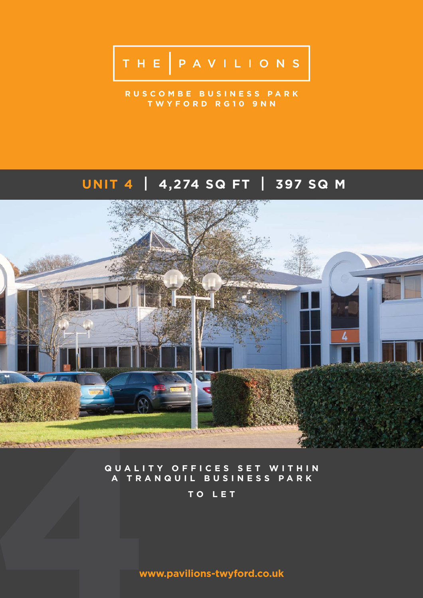# THE PAVILIONS

**R U S C O M B E B U S I N E S S P A R K TWYFORD RG10 9NN**

## **UNIT 4 I 4,274 SQ FT I 397 SQ M**



#### **QUALITY OFFICES SET WITHIN A TRANQUIL BUSINESS PARK**

**TO LET**